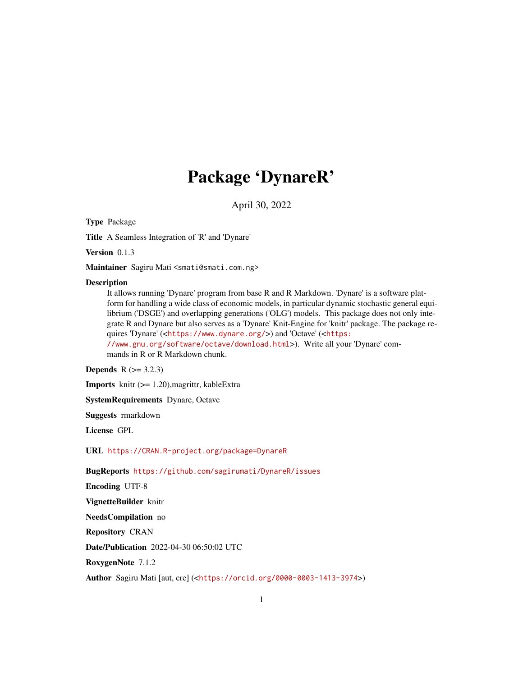# Package 'DynareR'

April 30, 2022

Type Package

Title A Seamless Integration of 'R' and 'Dynare'

Version 0.1.3

Maintainer Sagiru Mati <smati@smati.com.ng>

#### **Description**

It allows running 'Dynare' program from base R and R Markdown. 'Dynare' is a software platform for handling a wide class of economic models, in particular dynamic stochastic general equilibrium ('DSGE') and overlapping generations ('OLG') models. This package does not only integrate R and Dynare but also serves as a 'Dynare' Knit-Engine for 'knitr' package. The package requires 'Dynare' (<<https://www.dynare.org/>>) and 'Octave' (<[https:](https://www.gnu.org/software/octave/download.html) [//www.gnu.org/software/octave/download.html](https://www.gnu.org/software/octave/download.html)>). Write all your 'Dynare' com-

mands in R or R Markdown chunk.

**Depends**  $R$  ( $>= 3.2.3$ )

**Imports** knitr  $(>= 1.20)$ , magrittr, kableExtra

SystemRequirements Dynare, Octave

Suggests rmarkdown

License GPL

URL <https://CRAN.R-project.org/package=DynareR>

BugReports <https://github.com/sagirumati/DynareR/issues>

Encoding UTF-8

VignetteBuilder knitr

NeedsCompilation no

Repository CRAN

Date/Publication 2022-04-30 06:50:02 UTC

RoxygenNote 7.1.2

Author Sagiru Mati [aut, cre] (<<https://orcid.org/0000-0003-1413-3974>>)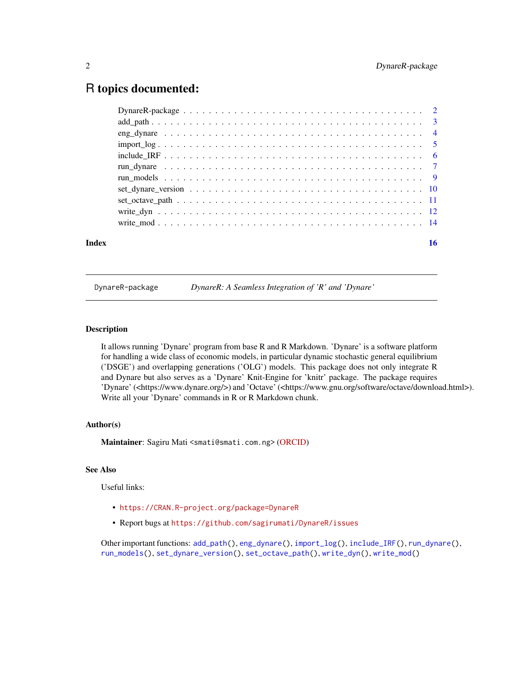# <span id="page-1-0"></span>R topics documented:

| Index | 16 |
|-------|----|

DynareR-package *DynareR: A Seamless Integration of 'R' and 'Dynare'*

# <span id="page-1-1"></span>Description

It allows running 'Dynare' program from base R and R Markdown. 'Dynare' is a software platform for handling a wide class of economic models, in particular dynamic stochastic general equilibrium ('DSGE') and overlapping generations ('OLG') models. This package does not only integrate R and Dynare but also serves as a 'Dynare' Knit-Engine for 'knitr' package. The package requires 'Dynare' (<https://www.dynare.org/>) and 'Octave' (<https://www.gnu.org/software/octave/download.html>). Write all your 'Dynare' commands in R or R Markdown chunk.

#### Author(s)

Maintainer: Sagiru Mati <smati@smati.com.ng> [\(ORCID\)](https://orcid.org/0000-0003-1413-3974)

# See Also

Useful links:

- <https://CRAN.R-project.org/package=DynareR>
- Report bugs at <https://github.com/sagirumati/DynareR/issues>

Other important functions: [add\\_path\(](#page-2-1)), [eng\\_dynare\(](#page-3-1)), [import\\_log\(](#page-4-1)), [include\\_IRF\(](#page-5-1)), [run\\_dynare\(](#page-6-1)), [run\\_models\(](#page-8-1)), [set\\_dynare\\_version\(](#page-9-1)), [set\\_octave\\_path\(](#page-10-1)), [write\\_dyn\(](#page-11-1)), [write\\_mod\(](#page-13-1))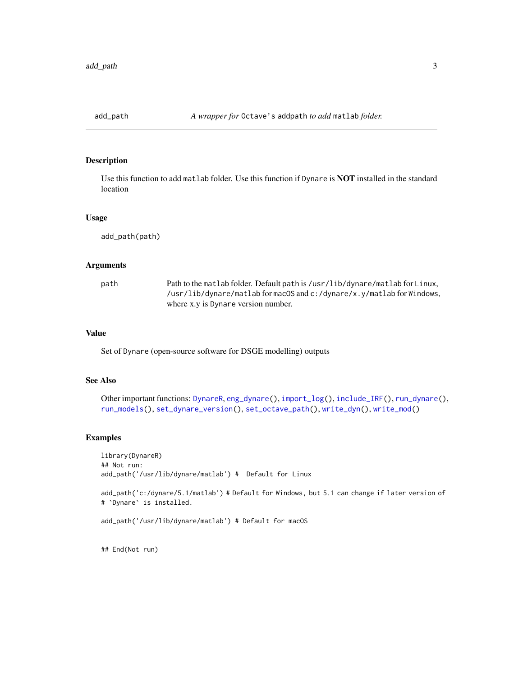<span id="page-2-1"></span><span id="page-2-0"></span>

Use this function to add matlab folder. Use this function if Dynare is NOT installed in the standard location

#### Usage

add\_path(path)

#### Arguments

| path | Path to the matlab folder. Default path is /usr/lib/dynare/matlab for Linux, |
|------|------------------------------------------------------------------------------|
|      | /usr/lib/dynare/matlab formacOS and c:/dynare/x.y/matlab for Windows,        |
|      | where x, y is Dynare version number.                                         |

# Value

Set of Dynare (open-source software for DSGE modelling) outputs

### See Also

Other important functions: [DynareR](#page-1-1), [eng\\_dynare\(](#page-3-1)), [import\\_log\(](#page-4-1)), [include\\_IRF\(](#page-5-1)), [run\\_dynare\(](#page-6-1)), [run\\_models\(](#page-8-1)), [set\\_dynare\\_version\(](#page-9-1)), [set\\_octave\\_path\(](#page-10-1)), [write\\_dyn\(](#page-11-1)), [write\\_mod\(](#page-13-1))

## Examples

library(DynareR) ## Not run: add\_path('/usr/lib/dynare/matlab') # Default for Linux

add\_path('c:/dynare/5.1/matlab') # Default for Windows, but 5.1 can change if later version of # `Dynare` is installed.

add\_path('/usr/lib/dynare/matlab') # Default for macOS

## End(Not run)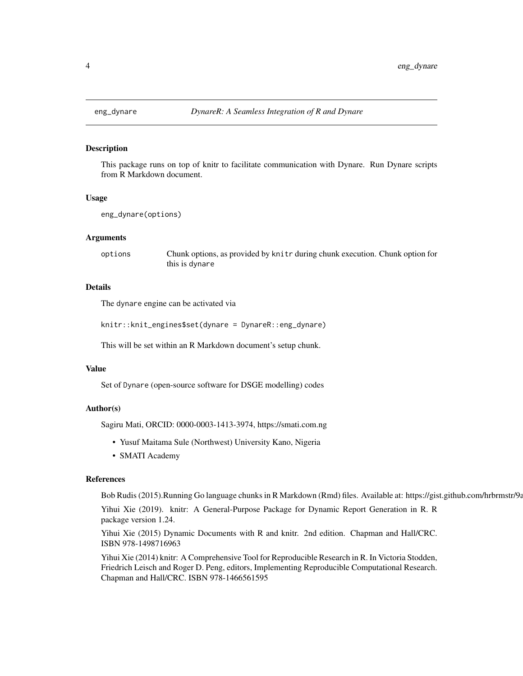<span id="page-3-1"></span><span id="page-3-0"></span>

This package runs on top of knitr to facilitate communication with Dynare. Run Dynare scripts from R Markdown document.

#### Usage

```
eng_dynare(options)
```
#### Arguments

options Chunk options, as provided by knitr during chunk execution. Chunk option for this is dynare

# Details

The dynare engine can be activated via

knitr::knit\_engines\$set(dynare = DynareR::eng\_dynare)

This will be set within an R Markdown document's setup chunk.

#### Value

Set of Dynare (open-source software for DSGE modelling) codes

#### Author(s)

Sagiru Mati, ORCID: 0000-0003-1413-3974, https://smati.com.ng

- Yusuf Maitama Sule (Northwest) University Kano, Nigeria
- SMATI Academy

#### References

Bob Rudis (2015).Running Go language chunks in R Markdown (Rmd) files. Available at: https://gist.github.com/hrbrmstr/9a

Yihui Xie (2019). knitr: A General-Purpose Package for Dynamic Report Generation in R. R package version 1.24.

Yihui Xie (2015) Dynamic Documents with R and knitr. 2nd edition. Chapman and Hall/CRC. ISBN 978-1498716963

Yihui Xie (2014) knitr: A Comprehensive Tool for Reproducible Research in R. In Victoria Stodden, Friedrich Leisch and Roger D. Peng, editors, Implementing Reproducible Computational Research. Chapman and Hall/CRC. ISBN 978-1466561595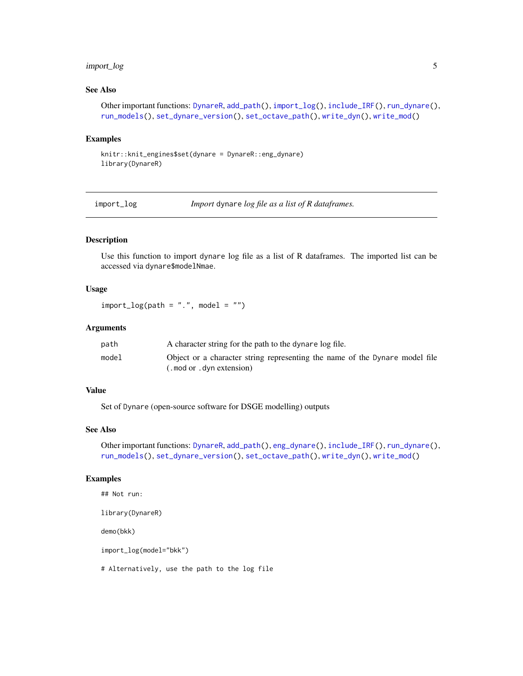# <span id="page-4-0"></span>import\_log 5

# See Also

```
Other important functions: DynareR, add_path(), import_log(), include_IRF(), run_dynare(),
run_models(), set_dynare_version(), set_octave_path(), write_dyn(), write_mod()
```
#### Examples

```
knitr::knit_engines$set(dynare = DynareR::eng_dynare)
library(DynareR)
```
<span id="page-4-1"></span>import\_log *Import* dynare *log file as a list of R dataframes.*

# Description

Use this function to import dynare log file as a list of R dataframes. The imported list can be accessed via dynare\$modelNmae.

#### Usage

 $import_log(path = "."$ , model = "")

### Arguments

| path  | A character string for the path to the dynare log file.                     |
|-------|-----------------------------------------------------------------------------|
| model | Object or a character string representing the name of the Dynare model file |
|       | (. mod or . dyn extension)                                                  |

#### Value

Set of Dynare (open-source software for DSGE modelling) outputs

# See Also

Other important functions: [DynareR](#page-1-1), [add\\_path\(](#page-2-1)), [eng\\_dynare\(](#page-3-1)), [include\\_IRF\(](#page-5-1)), [run\\_dynare\(](#page-6-1)), [run\\_models\(](#page-8-1)), [set\\_dynare\\_version\(](#page-9-1)), [set\\_octave\\_path\(](#page-10-1)), [write\\_dyn\(](#page-11-1)), [write\\_mod\(](#page-13-1))

## Examples

```
## Not run:
library(DynareR)
```
demo(bkk)

import\_log(model="bkk")

# Alternatively, use the path to the log file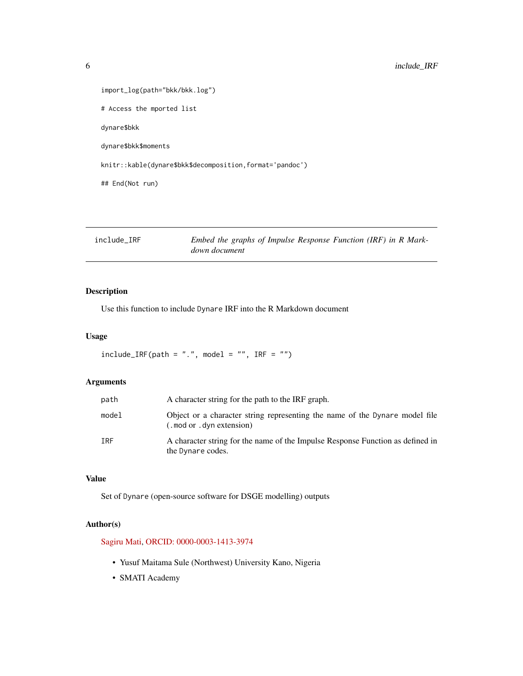```
import_log(path="bkk/bkk.log")
# Access the mported list
dynare$bkk
dynare$bkk$moments
knitr::kable(dynare$bkk$decomposition,format='pandoc')
## End(Not run)
```
<span id="page-5-1"></span>

| include IRF | Embed the graphs of Impulse Response Function (IRF) in R Mark- |
|-------------|----------------------------------------------------------------|
|             | down document                                                  |

Use this function to include Dynare IRF into the R Markdown document

# Usage

```
include\_IRF(path = ".", model = "", IRF = "")
```
# Arguments

| path       | A character string for the path to the IRF graph.                                                         |
|------------|-----------------------------------------------------------------------------------------------------------|
| model      | Object or a character string representing the name of the Dynare model file<br>(. mod or . dyn extension) |
| <b>TRF</b> | A character string for the name of the Impulse Response Function as defined in<br>the Dynare codes.       |

# Value

Set of Dynare (open-source software for DSGE modelling) outputs

# Author(s)

[Sagiru Mati,](https://smati.com.ng) [ORCID: 0000-0003-1413-3974](https://orcid.org/0000-0003-1413-3974)

- Yusuf Maitama Sule (Northwest) University Kano, Nigeria
- SMATI Academy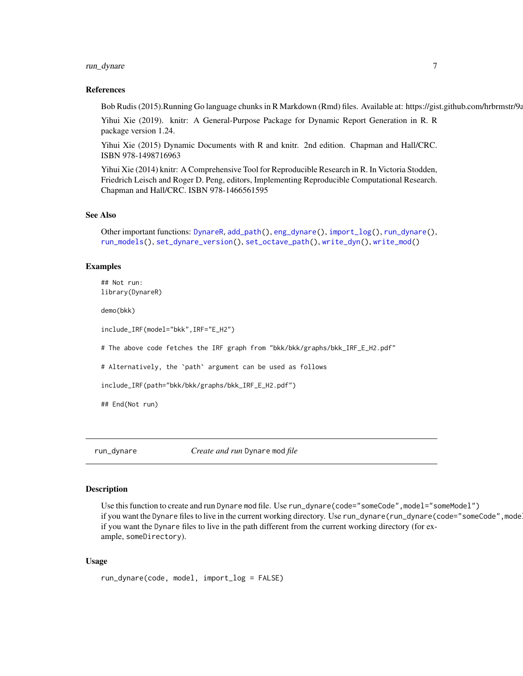# <span id="page-6-0"></span>run\_dynare 7

#### References

Bob Rudis (2015).Running Go language chunks in R Markdown (Rmd) files. Available at: https://gist.github.com/hrbrmstr/9a

Yihui Xie (2019). knitr: A General-Purpose Package for Dynamic Report Generation in R. R package version 1.24.

Yihui Xie (2015) Dynamic Documents with R and knitr. 2nd edition. Chapman and Hall/CRC. ISBN 978-1498716963

Yihui Xie (2014) knitr: A Comprehensive Tool for Reproducible Research in R. In Victoria Stodden, Friedrich Leisch and Roger D. Peng, editors, Implementing Reproducible Computational Research. Chapman and Hall/CRC. ISBN 978-1466561595

#### See Also

```
Other important functions: DynareR, add_path(), eng_dynare(), import_log(), run_dynare(),
run_models(), set_dynare_version(), set_octave_path(), write_dyn(), write_mod()
```
#### Examples

## Not run: library(DynareR)

demo(bkk)

include\_IRF(model="bkk",IRF="E\_H2")

# The above code fetches the IRF graph from "bkk/bkk/graphs/bkk\_IRF\_E\_H2.pdf"

# Alternatively, the `path` argument can be used as follows

```
include_IRF(path="bkk/bkk/graphs/bkk_IRF_E_H2.pdf")
```
## End(Not run)

<span id="page-6-1"></span>run\_dynare *Create and run* Dynare mod *file*

#### Description

Use this function to create and run Dynare mod file. Use run\_dynare(code="someCode", model="someModel") if you want the Dynare files to live in the current working directory. Use run\_dynare(run\_dynare(code="someCode",mode if you want the Dynare files to live in the path different from the current working directory (for example, someDirectory).

#### Usage

```
run_dynare(code, model, import_log = FALSE)
```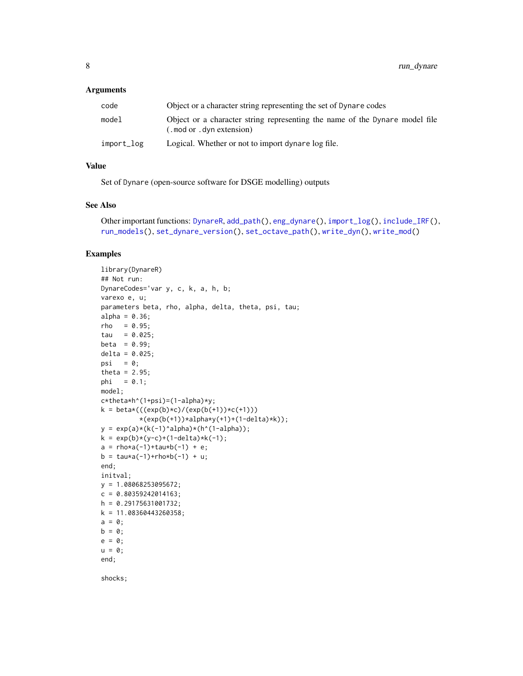#### <span id="page-7-0"></span>Arguments

| code       | Object or a character string representing the set of Dynare codes                                         |
|------------|-----------------------------------------------------------------------------------------------------------|
| model      | Object or a character string representing the name of the Dynare model file<br>(. mod or . dyn extension) |
| import_log | Logical. Whether or not to import dynare log file.                                                        |

#### Value

Set of Dynare (open-source software for DSGE modelling) outputs

#### See Also

```
Other important functions: DynareR, add_path(), eng_dynare(), import_log(), include_IRF(),
run_models(), set_dynare_version(), set_octave_path(), write_dyn(), write_mod()
```
#### Examples

```
library(DynareR)
## Not run:
DynareCodes='var y, c, k, a, h, b;
varexo e, u;
parameters beta, rho, alpha, delta, theta, psi, tau;
alpha = 0.36;
rho = 0.95;tau = 0.025;
beta = 0.99;
delta = 0.025;
psi = \theta;
theta = 2.95;
phi = 0.1;
model;
c*theta*h^(1+psi)=(1-alpha)*y;
k = \frac{beta*(((exp(b)*c)/(exp(b(+1))*c(+1)))}{*(exp(b(+1))*alpha*y(+1)+(1-delta)*k));y = exp(a)*(k(-1)^{\land}alpha)*(h*(1-alpha));k = exp(b)*(y-c)+(1-delta)*k(-1);a = \text{rho} * a(-1) + \text{tau} * b(-1) + e;b = \text{tau}(-1) + \text{rho}*b(-1) + u;end;
initval;
y = 1.08068253095672;
c = 0.80359242014163;h = 0.29175631001732;
k = 11.08360443260358;a = 0;b = 0;e = 0;u = 0;end;
shocks;
```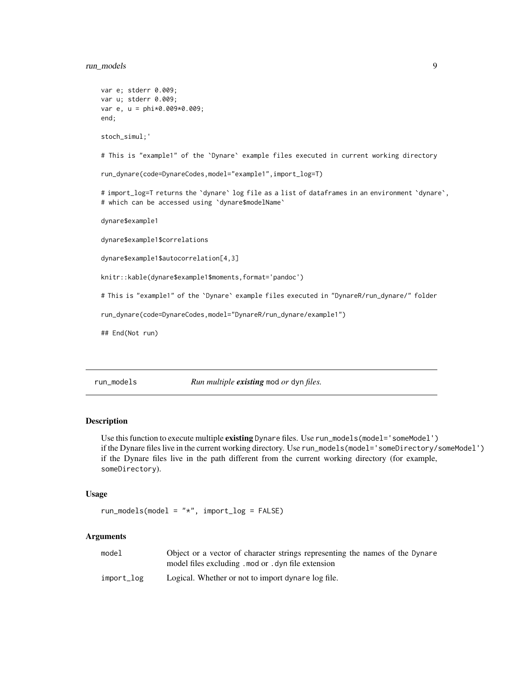# <span id="page-8-0"></span>run\_models 9

```
var e; stderr 0.009;
var u; stderr 0.009;
var e, u = phi*0.009*0.009;
end;
stoch_simul;'
# This is "example1" of the `Dynare` example files executed in current working directory
run_dynare(code=DynareCodes,model="example1",import_log=T)
# import_log=T returns the `dynare` log file as a list of dataframes in an environment `dynare`,
# which can be accessed using `dynare$modelName`
dynare$example1
dynare$example1$correlations
dynare$example1$autocorrelation[4,3]
knitr::kable(dynare$example1$moments,format='pandoc')
# This is "example1" of the `Dynare` example files executed in "DynareR/run_dynare/" folder
run_dynare(code=DynareCodes,model="DynareR/run_dynare/example1")
## End(Not run)
```
<span id="page-8-1"></span>run\_models *Run multiple existing* mod *or* dyn *files.*

#### Description

Use this function to execute multiple existing Dynare files. Use run\_models(model='someModel') if the Dynare files live in the current working directory. Use run\_models(model='someDirectory/someModel') if the Dynare files live in the path different from the current working directory (for example, someDirectory).

#### Usage

```
run_models(model = "*", import_log = FALSE)
```
#### Arguments

| model      | Object or a vector of character strings representing the names of the Dynare |
|------------|------------------------------------------------------------------------------|
|            | model files excluding . mod or . dyn file extension                          |
| import_log | Logical. Whether or not to import dynare log file.                           |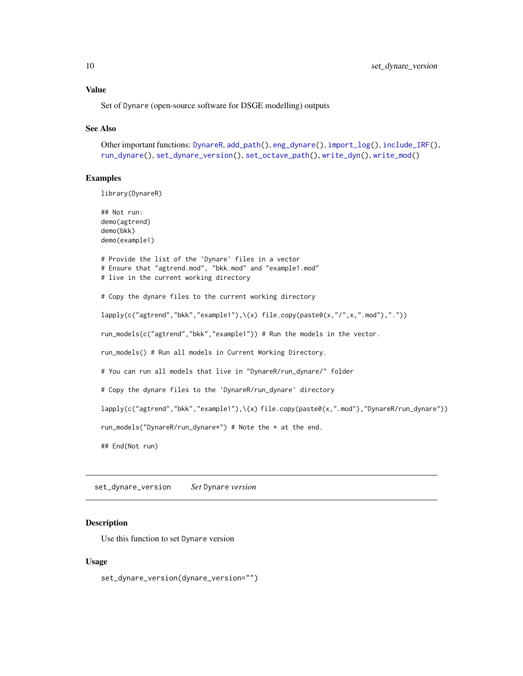#### <span id="page-9-0"></span>Value

Set of Dynare (open-source software for DSGE modelling) outputs

#### See Also

```
Other important functions: DynareR, add_path(), eng_dynare(), import_log(), include_IRF(),
run_dynare(), set_dynare_version(), set_octave_path(), write_dyn(), write_mod()
```
#### Examples

library(DynareR)

```
## Not run:
demo(agtrend)
demo(bkk)
demo(example1)
# Provide the list of the `Dynare` files in a vector
# Ensure that "agtrend.mod", "bkk.mod" and "example1.mod"
# live in the current working directory
# Copy the dynare files to the current working directory
lapply(c("agtrend","bkk","example1"),\(x) file.copy(paste0(x,"/",x,".mod"),"."))
run_models(c("agtrend","bkk","example1")) # Run the models in the vector.
run_models() # Run all models in Current Working Directory.
# You can run all models that live in "DynareR/run_dynare/" folder
# Copy the dynare files to the 'DynareR/run_dynare' directory
lapply(c("agtrend","bkk","example1"),\(x) file.copy(paste0(x,".mod"),"DynareR/run_dynare"))
run_models("DynareR/run_dynare*") # Note the * at the end.
## End(Not run)
```
<span id="page-9-1"></span>set\_dynare\_version *Set* Dynare *version*

#### **Description**

Use this function to set Dynare version

#### Usage

set\_dynare\_version(dynare\_version="")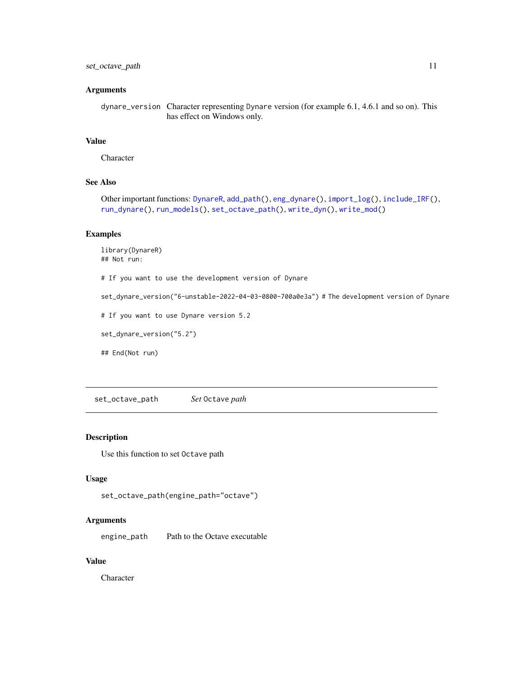# <span id="page-10-0"></span>set\_octave\_path 11

#### **Arguments**

dynare\_version Character representing Dynare version (for example 6.1, 4.6.1 and so on). This has effect on Windows only.

# Value

Character

# See Also

Other important functions: [DynareR](#page-1-1), [add\\_path\(](#page-2-1)), [eng\\_dynare\(](#page-3-1)), [import\\_log\(](#page-4-1)), [include\\_IRF\(](#page-5-1)), [run\\_dynare\(](#page-6-1)), [run\\_models\(](#page-8-1)), [set\\_octave\\_path\(](#page-10-1)), [write\\_dyn\(](#page-11-1)), [write\\_mod\(](#page-13-1))

# Examples

library(DynareR) ## Not run: # If you want to use the development version of Dynare set\_dynare\_version("6-unstable-2022-04-03-0800-700a0e3a") # The development version of Dynare # If you want to use Dynare version 5.2 set\_dynare\_version("5.2") ## End(Not run)

<span id="page-10-1"></span>set\_octave\_path *Set* Octave *path*

# Description

Use this function to set Octave path

## Usage

set\_octave\_path(engine\_path="octave")

## Arguments

engine\_path Path to the Octave executable

#### Value

Character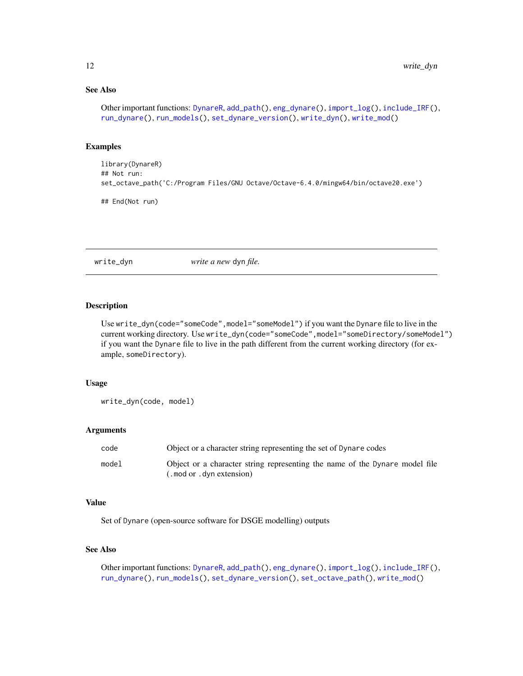# <span id="page-11-0"></span>See Also

```
Other important functions: DynareR, add_path(), eng_dynare(), import_log(), include_IRF(),
run_dynare(), run_models(), set_dynare_version(), write_dyn(), write_mod()
```
#### Examples

```
library(DynareR)
## Not run:
set_octave_path('C:/Program Files/GNU Octave/Octave-6.4.0/mingw64/bin/octave20.exe')
```
## End(Not run)

<span id="page-11-1"></span>write\_dyn *write a new* dyn *file.*

#### Description

Use write\_dyn(code="someCode", model="someModel") if you want the Dynare file to live in the current working directory. Use write\_dyn(code="someCode", model="someDirectory/someModel") if you want the Dynare file to live in the path different from the current working directory (for example, someDirectory).

#### Usage

write\_dyn(code, model)

#### Arguments

| code  | Object or a character string representing the set of Dynare codes                                         |
|-------|-----------------------------------------------------------------------------------------------------------|
| model | Object or a character string representing the name of the Dynare model file<br>(. mod or . dvn extension) |

# Value

Set of Dynare (open-source software for DSGE modelling) outputs

#### See Also

Other important functions: [DynareR](#page-1-1), [add\\_path\(](#page-2-1)), [eng\\_dynare\(](#page-3-1)), [import\\_log\(](#page-4-1)), [include\\_IRF\(](#page-5-1)), [run\\_dynare\(](#page-6-1)), [run\\_models\(](#page-8-1)), [set\\_dynare\\_version\(](#page-9-1)), [set\\_octave\\_path\(](#page-10-1)), [write\\_mod\(](#page-13-1))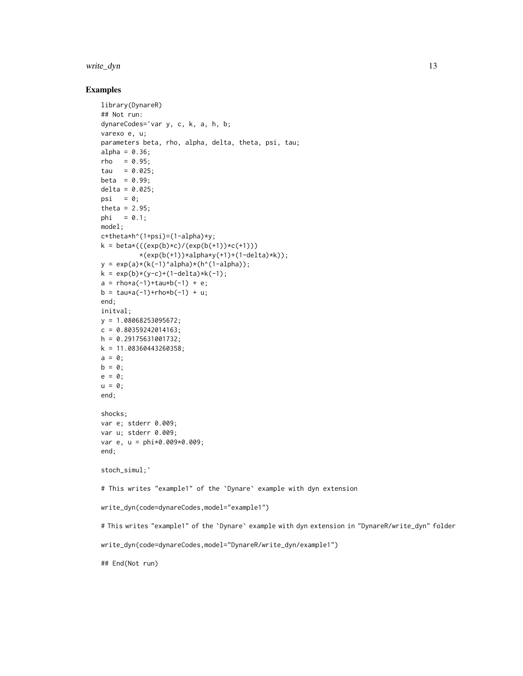#### write\_dyn 13

#### Examples

```
library(DynareR)
## Not run:
dynareCodes='var y, c, k, a, h, b;
varexo e, u;
parameters beta, rho, alpha, delta, theta, psi, tau;
alpha = 0.36;
rho = 0.95;
tau = 0.025;
beta = 0.99;
delta = 0.025;
psi = \theta;
theta = 2.95;
phi = 0.1;model;
c*theta*h^(1+psi)=(1-alpha)*y;
k = \frac{beta*(((exp(b)*c)/(exp(b(+1))*(c(+1))))}{h}*(exp(b(+1))*alpha*y(+1)+(1-delta)*k));y = exp(a)*(k(-1)^{\land}alpha)*(h^(1-\lambda pha));k = exp(b)*(y-c)+(1-delta)*k(-1);a = \text{rho} * a(-1) + \text{tau} * b(-1) + e;b = \text{tau} \cdot a(-1) + \text{rho} \cdot b(-1) + u;end;
initval;
y = 1.08068253095672;
c = 0.80359242014163;h = 0.29175631001732;k = 11.08360443260358;a = 0;
b = 0;e = 0;u = 0;end;
shocks;
var e; stderr 0.009;
var u; stderr 0.009;
var e, u = phi*0.009*0.009;
end;
stoch_simul;'
# This writes "example1" of the `Dynare` example with dyn extension
write_dyn(code=dynareCodes,model="example1")
# This writes "example1" of the `Dynare` example with dyn extension in "DynareR/write_dyn" folder
write_dyn(code=dynareCodes,model="DynareR/write_dyn/example1")
## End(Not run)
```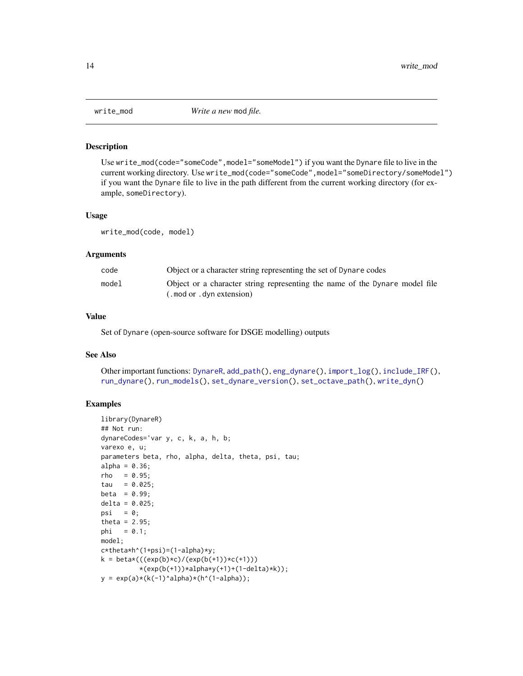<span id="page-13-1"></span><span id="page-13-0"></span>

Use write\_mod(code="someCode", model="someModel") if you want the Dynare file to live in the current working directory. Use write\_mod(code="someCode",model="someDirectory/someModel") if you want the Dynare file to live in the path different from the current working directory (for example, someDirectory).

#### Usage

write\_mod(code, model)

#### Arguments

| code  | Object or a character string representing the set of Dynare codes           |
|-------|-----------------------------------------------------------------------------|
| model | Object or a character string representing the name of the Dynare model file |
|       | (mod or . dyn extension).                                                   |

# Value

Set of Dynare (open-source software for DSGE modelling) outputs

#### See Also

Other important functions: [DynareR](#page-1-1), [add\\_path\(](#page-2-1)), [eng\\_dynare\(](#page-3-1)), [import\\_log\(](#page-4-1)), [include\\_IRF\(](#page-5-1)), [run\\_dynare\(](#page-6-1)), [run\\_models\(](#page-8-1)), [set\\_dynare\\_version\(](#page-9-1)), [set\\_octave\\_path\(](#page-10-1)), [write\\_dyn\(](#page-11-1))

# Examples

```
library(DynareR)
## Not run:
dynareCodes='var y, c, k, a, h, b;
varexo e, u;
parameters beta, rho, alpha, delta, theta, psi, tau;
alpha = 0.36;
rho = 0.95;tau = 0.025;
beta = 0.99;delta = 0.025;psi = \theta;
theta = 2.95;
phi = 0.1;model;
c*theta*h^(1+psi)=(1-alpha)*y;
k = \frac{beta*(((exp(b)*c)/(exp(b(+1))*c(+1)))}{*(exp(b(+1))*alpha*y(+1)+(1-delta)*k));y = exp(a)*(k(-1)^{\land}alpha)*(h*(1-alpha));
```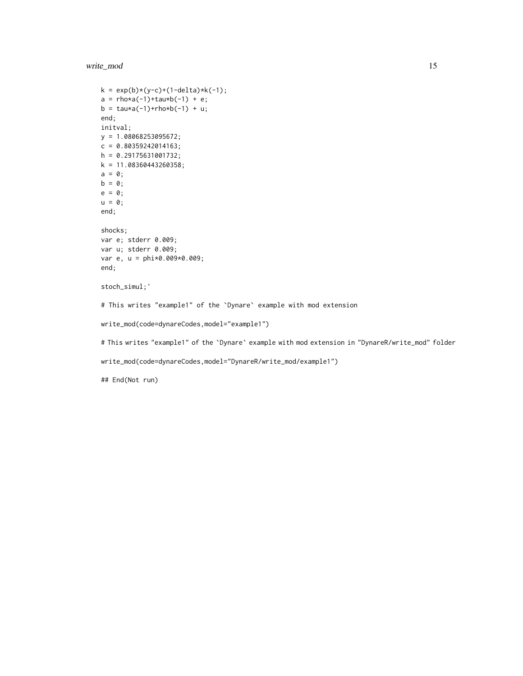write\_mod 15

```
k = exp(b)*(y-c)+(1-delta)*k(-1);a = \text{rho} * a(-1) + \text{tau} * b(-1) + e;b = \text{tau} \cdot a(-1) + r h o * b(-1) + u;end;
initval;
y = 1.08068253095672;
c = 0.80359242014163;h = 0.29175631001732;
k = 11.08360443260358;a = 0;b = 0;e = 0;u = 0;end;
shocks;
var e; stderr 0.009;
var u; stderr 0.009;
var e, u = phi*0.009*0.009;
end;
stoch_simul;'
# This writes "example1" of the `Dynare` example with mod extension
write_mod(code=dynareCodes,model="example1")
# This writes "example1" of the `Dynare` example with mod extension in "DynareR/write_mod" folder
write_mod(code=dynareCodes,model="DynareR/write_mod/example1")
## End(Not run)
```